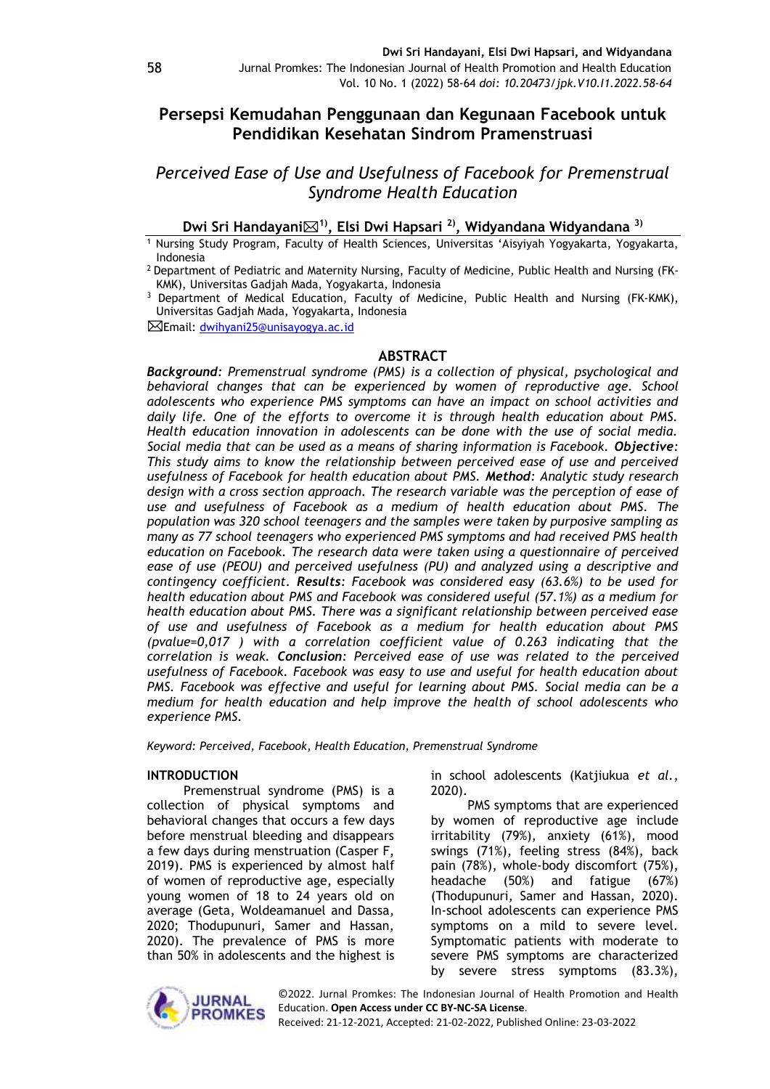# **Persepsi Kemudahan Penggunaan dan Kegunaan Facebook untuk Pendidikan Kesehatan Sindrom Pramenstruasi**

*Perceived Ease of Use and Usefulness of Facebook for Premenstrual Syndrome Health Education*

## **Dwi Sri Handayani1) , Elsi Dwi Hapsari 2) , Widyandana Widyandana 3)**

<sup>1</sup> Nursing Study Program, Faculty of Health Sciences, Universitas 'Aisyiyah Yogyakarta, Yogyakarta, Indonesia

<sup>2</sup> Department of Pediatric and Maternity Nursing, Faculty of Medicine, Public Health and Nursing (FK-KMK), Universitas Gadjah Mada, Yogyakarta, Indonesia

<sup>3</sup> Department of Medical Education, Faculty of Medicine, Public Health and Nursing (FK-KMK), Universitas Gadjah Mada, Yogyakarta, Indonesia

Email: [dwihyani25@unisayogya.ac.id](mailto:dwihyani25@unisayogya.ac.id)

#### **ABSTRACT**

*Background: Premenstrual syndrome (PMS) is a collection of physical, psychological and behavioral changes that can be experienced by women of reproductive age. School adolescents who experience PMS symptoms can have an impact on school activities and daily life. One of the efforts to overcome it is through health education about PMS. Health education innovation in adolescents can be done with the use of social media. Social media that can be used as a means of sharing information is Facebook. Objective: This study aims to know the relationship between perceived ease of use and perceived usefulness of Facebook for health education about PMS. Method: Analytic study research design with a cross section approach. The research variable was the perception of ease of use and usefulness of Facebook as a medium of health education about PMS. The population was 320 school teenagers and the samples were taken by purposive sampling as many as 77 school teenagers who experienced PMS symptoms and had received PMS health education on Facebook. The research data were taken using a questionnaire of perceived*  ease of use (PEOU) and perceived usefulness (PU) and analyzed using a descriptive and *contingency coefficient. Results: Facebook was considered easy (63.6%) to be used for health education about PMS and Facebook was considered useful (57.1%) as a medium for health education about PMS. There was a significant relationship between perceived ease of use and usefulness of Facebook as a medium for health education about PMS (pvalue=0,017 ) with a correlation coefficient value of 0.263 indicating that the correlation is weak. Conclusion: Perceived ease of use was related to the perceived usefulness of Facebook. Facebook was easy to use and useful for health education about PMS. Facebook was effective and useful for learning about PMS. Social media can be a medium for health education and help improve the health of school adolescents who experience PMS.*

*Keyword: Perceived, Facebook, Health Education, Premenstrual Syndrome* 

#### **INTRODUCTION**

Premenstrual syndrome (PMS) is a collection of physical symptoms and behavioral changes that occurs a few days before menstrual bleeding and disappears a few days during menstruation (Casper F, 2019). PMS is experienced by almost half of women of reproductive age, especially young women of 18 to 24 years old on average (Geta, Woldeamanuel and Dassa, 2020; Thodupunuri, Samer and Hassan, 2020). The prevalence of PMS is more than 50% in adolescents and the highest is in school adolescents (Katjiukua *et al.*, 2020).

PMS symptoms that are experienced by women of reproductive age include irritability (79%), anxiety (61%), mood swings (71%), feeling stress (84%), back pain (78%), whole-body discomfort (75%), headache (50%) and fatigue (67%) (Thodupunuri, Samer and Hassan, 2020). In-school adolescents can experience PMS symptoms on a mild to severe level. Symptomatic patients with moderate to severe PMS symptoms are characterized by severe stress symptoms (83.3%),

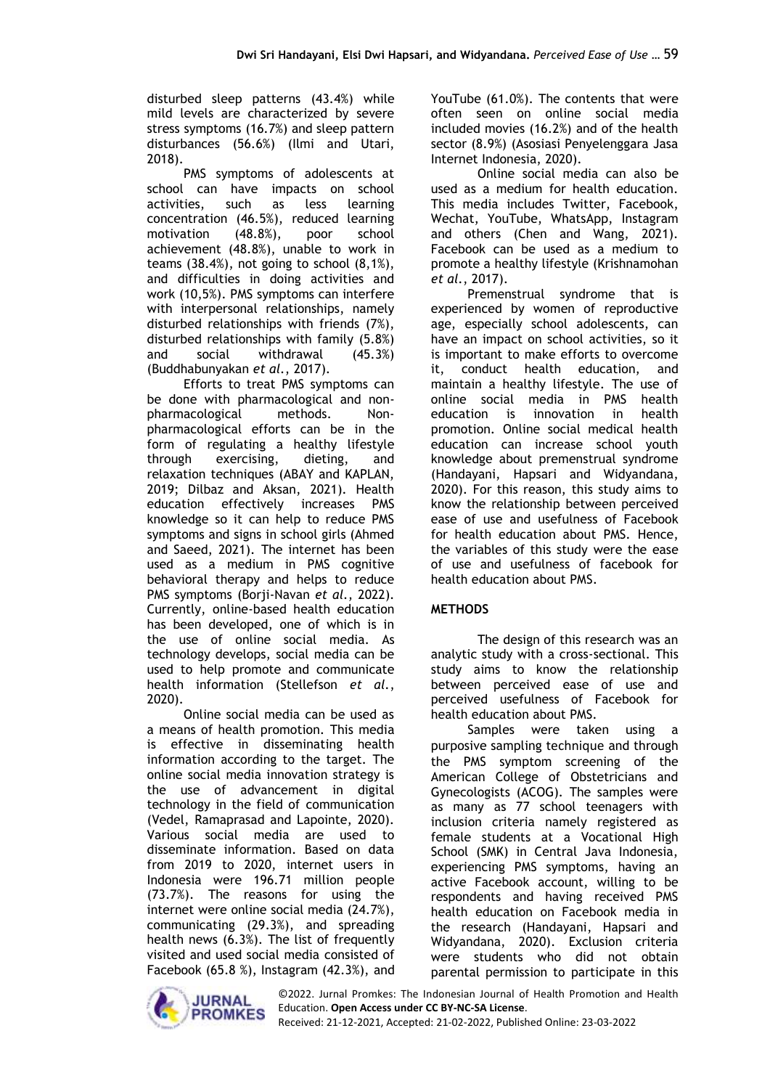disturbed sleep patterns (43.4%) while mild levels are characterized by severe stress symptoms (16.7%) and sleep pattern disturbances (56.6%) (Ilmi and Utari, 2018).

PMS symptoms of adolescents at school can have impacts on school activities, such as less learning concentration (46.5%), reduced learning<br>motivation (48.8%), poor school motivation (48.8%), poor school achievement (48.8%), unable to work in teams (38.4%), not going to school (8,1%), and difficulties in doing activities and work (10,5%). PMS symptoms can interfere with interpersonal relationships, namely disturbed relationships with friends (7%), disturbed relationships with family (5.8%) and social withdrawal (45.3%) (Buddhabunyakan *et al.*, 2017).

Efforts to treat PMS symptoms can be done with pharmacological and nonpharmacological methods. Nonpharmacological efforts can be in the form of regulating a healthy lifestyle through exercising, dieting, and relaxation techniques (ABAY and KAPLAN, 2019; Dilbaz and Aksan, 2021). Health education effectively increases PMS knowledge so it can help to reduce PMS symptoms and signs in school girls (Ahmed and Saeed, 2021). The internet has been used as a medium in PMS cognitive behavioral therapy and helps to reduce PMS symptoms (Borji-Navan *et al.*, 2022). Currently, online-based health education has been developed, one of which is in the use of online social media. As technology develops, social media can be used to help promote and communicate health information (Stellefson *et al.*, 2020).

Online social media can be used as a means of health promotion. This media is effective in disseminating health information according to the target. The online social media innovation strategy is the use of advancement in digital technology in the field of communication (Vedel, Ramaprasad and Lapointe, 2020). Various social media are used to disseminate information. Based on data from 2019 to 2020, internet users in Indonesia were 196.71 million people (73.7%). The reasons for using the internet were online social media (24.7%), communicating (29.3%), and spreading health news (6.3%). The list of frequently visited and used social media consisted of Facebook (65.8 %), Instagram (42.3%), and YouTube (61.0%). The contents that were often seen on online social media included movies (16.2%) and of the health sector (8.9%) (Asosiasi Penyelenggara Jasa Internet Indonesia, 2020).

Online social media can also be used as a medium for health education. This media includes Twitter, Facebook, Wechat, YouTube, WhatsApp, Instagram and others (Chen and Wang, 2021). Facebook can be used as a medium to promote a healthy lifestyle (Krishnamohan *et al.*, 2017).

Premenstrual syndrome that is experienced by women of reproductive age, especially school adolescents, can have an impact on school activities, so it is important to make efforts to overcome it, conduct health education, and maintain a healthy lifestyle. The use of online social media in PMS health education is innovation in health promotion. Online social medical health education can increase school youth knowledge about premenstrual syndrome (Handayani, Hapsari and Widyandana, 2020). For this reason, this study aims to know the relationship between perceived ease of use and usefulness of Facebook for health education about PMS. Hence, the variables of this study were the ease of use and usefulness of facebook for health education about PMS.

## **METHODS**

The design of this research was an analytic study with a cross-sectional. This study aims to know the relationship between perceived ease of use and perceived usefulness of Facebook for health education about PMS.

Samples were taken using a purposive sampling technique and through the PMS symptom screening of the American College of Obstetricians and Gynecologists (ACOG). The samples were as many as 77 school teenagers with inclusion criteria namely registered as female students at a Vocational High School (SMK) in Central Java Indonesia, experiencing PMS symptoms, having an active Facebook account, willing to be respondents and having received PMS health education on Facebook media in the research (Handayani, Hapsari and Widyandana, 2020). Exclusion criteria were students who did not obtain parental permission to participate in this



©2022. Jurnal Promkes: The Indonesian Journal of Health Promotion and Health Education. **Open Access under CC BY-NC-SA License**.

Received: 21-12-2021, Accepted: 21-02-2022, Published Online: 23-03-2022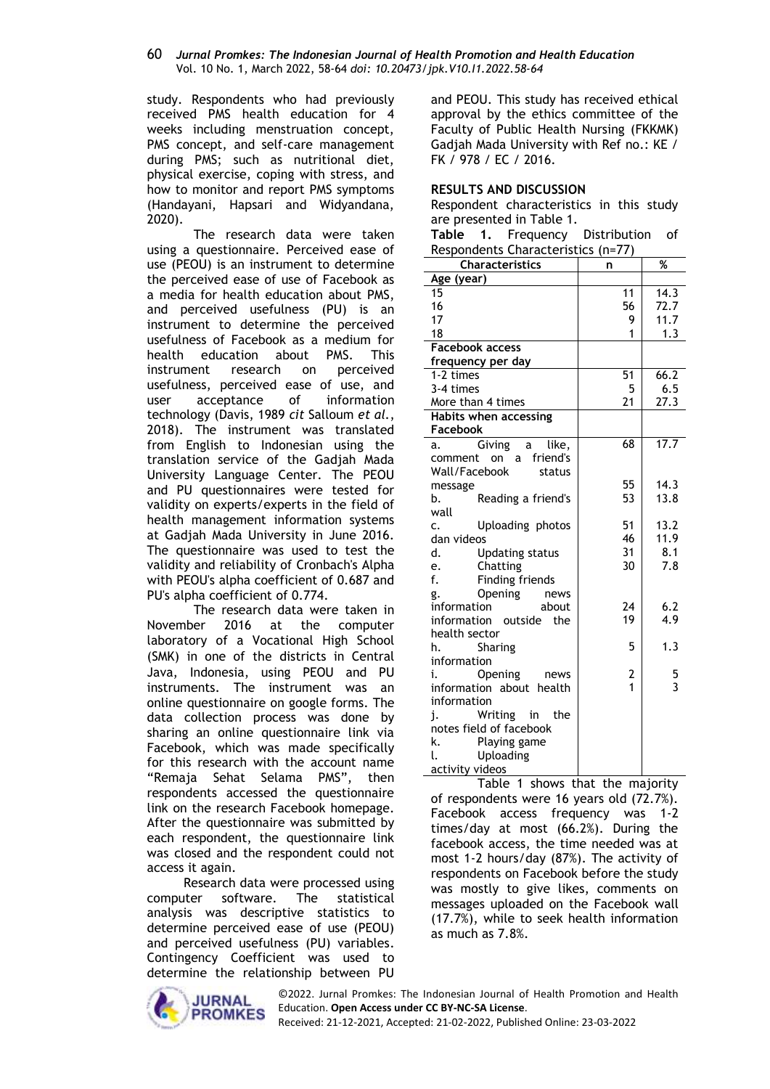#### 60 *Jurnal Promkes: The Indonesian Journal of Health Promotion and Health Education* Vol. 10 No. 1, March 2022, 58-64 *doi: 10.20473/jpk.V10.I1.2022.58-64*

study. Respondents who had previously received PMS health education for 4 weeks including menstruation concept, PMS concept, and self-care management during PMS; such as nutritional diet, physical exercise, coping with stress, and how to monitor and report PMS symptoms (Handayani, Hapsari and Widyandana, 2020).

The research data were taken using a questionnaire. Perceived ease of use (PEOU) is an instrument to determine the perceived ease of use of Facebook as a media for health education about PMS, and perceived usefulness (PU) is an instrument to determine the perceived usefulness of Facebook as a medium for health education about PMS. This instrument research on perceived usefulness, perceived ease of use, and<br>user acceptance of information user acceptance of information technology (Davis, 1989 *cit* Salloum *et al.*, 2018). The instrument was translated from English to Indonesian using the translation service of the Gadjah Mada University Language Center. The PEOU and PU questionnaires were tested for validity on experts/experts in the field of health management information systems at Gadjah Mada University in June 2016. The questionnaire was used to test the validity and reliability of Cronbach's Alpha with PEOU's alpha coefficient of 0.687 and PU's alpha coefficient of 0.774.

The research data were taken in November 2016 at the computer laboratory of a Vocational High School (SMK) in one of the districts in Central Java, Indonesia, using PEOU and PU instruments. The instrument was an online questionnaire on google forms. The data collection process was done by sharing an online questionnaire link via Facebook, which was made specifically for this research with the account name "Remaja Sehat Selama PMS", then respondents accessed the questionnaire link on the research Facebook homepage. After the questionnaire was submitted by each respondent, the questionnaire link was closed and the respondent could not access it again.

Research data were processed using computer software. The statistical analysis was descriptive statistics to determine perceived ease of use (PEOU) and perceived usefulness (PU) variables. Contingency Coefficient was used to determine the relationship between PU

**JURNAL PROMKES**  and PEOU. This study has received ethical approval by the ethics committee of the Faculty of Public Health Nursing (FKKMK) Gadjah Mada University with Ref no.: KE / FK / 978 / EC / 2016.

### **RESULTS AND DISCUSSION**

Respondent characteristics in this study are presented in Table 1.

| Table                              | $\mathbf{1}$ . | Frequency | Distribution of |  |
|------------------------------------|----------------|-----------|-----------------|--|
| Respondents Characteristics (n=77) |                |           |                 |  |

|                        | respondents enaracteristic | ,,,               | ℅                   |
|------------------------|----------------------------|-------------------|---------------------|
|                        | <b>Characteristics</b>     | n                 |                     |
| Age (year)             |                            |                   |                     |
| 15                     |                            | 11                | 14.3                |
| 16<br>17               |                            | 56<br>9           | 72.7                |
| 18                     |                            | 1                 | 11.7                |
| <b>Facebook access</b> |                            |                   | 1.3                 |
|                        | frequency per day          |                   |                     |
| 1-2 times              |                            | 51                | 66.2                |
| 3-4 times              |                            | 5                 | 6.5                 |
|                        | More than 4 times          | 21                | 27.3                |
|                        | Habits when accessing      |                   |                     |
| <b>Facebook</b>        |                            |                   |                     |
| a.                     | Giving<br>like,<br>a       | 68                | 17.7                |
| comment                | on a friend's              |                   |                     |
| Wall/Facebook          | status                     |                   |                     |
| message                |                            | 55                | 14.3                |
| b.                     | Reading a friend's         | 53                | 13.8                |
| wall                   |                            |                   |                     |
| c.                     | Uploading photos           | 51                | 13.2                |
| dan videos             |                            | 46                | 11.9                |
| d.                     | <b>Updating status</b>     | 31                | 8.1                 |
| e.                     | Chatting                   | 30                | 7.8                 |
| f.                     | Finding friends            |                   |                     |
| g.                     | Opening news               |                   |                     |
| information            | about                      | 24                | 6.2                 |
|                        | information outside<br>the | 19                | 4.9                 |
| health sector          |                            |                   |                     |
| h.                     | Sharing                    | 5                 | 1.3                 |
| information            |                            |                   |                     |
| i.                     | Opening<br>news            | 2<br>$\mathbf{1}$ | 5<br>$\overline{3}$ |
|                        | information about health   |                   |                     |
| information            |                            |                   |                     |
| j.                     | Writing<br>in<br>the       |                   |                     |
| k.                     | notes field of facebook    |                   |                     |
|                        | Playing game               |                   |                     |
| l.                     | Uploading                  |                   |                     |
| activity videos        |                            |                   |                     |

Table 1 shows that the majority of respondents were 16 years old (72.7%). Facebook access frequency was 1-2 times/day at most (66.2%). During the facebook access, the time needed was at most 1-2 hours/day (87%). The activity of respondents on Facebook before the study was mostly to give likes, comments on messages uploaded on the Facebook wall (17.7%), while to seek health information as much as 7.8%.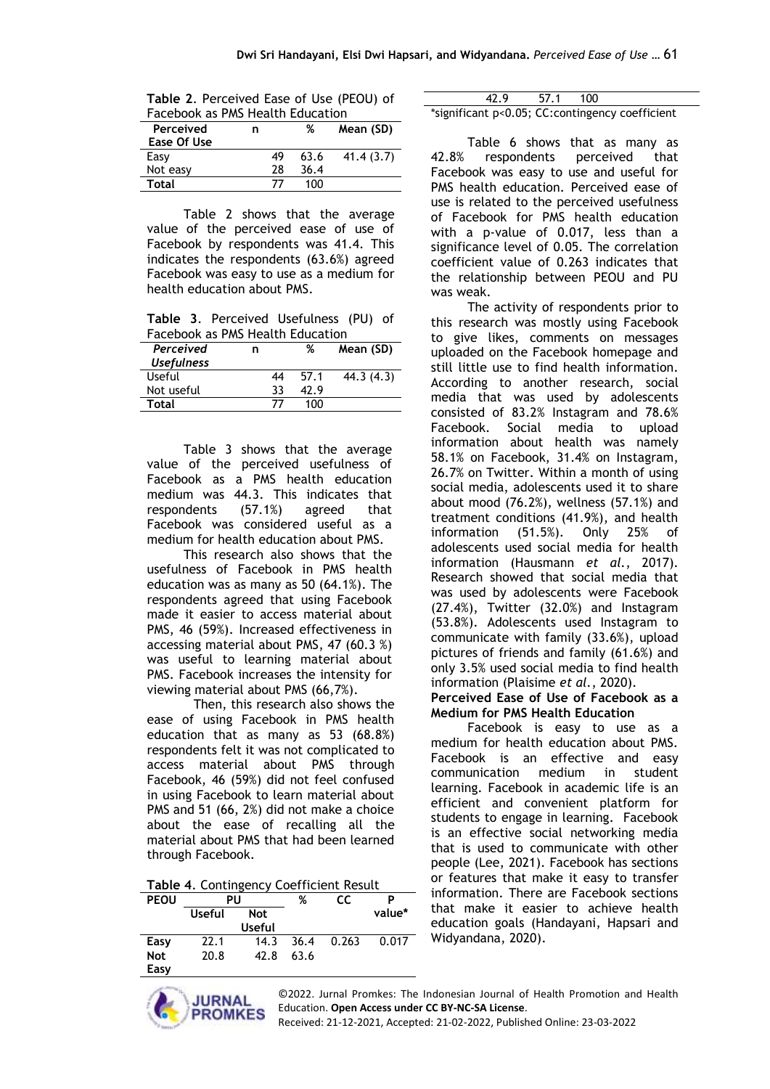| Table 2. Perceived Ease of Use (PEOU) of |  |  |  |  |  |
|------------------------------------------|--|--|--|--|--|
| Facebook as PMS Health Education         |  |  |  |  |  |
|                                          |  |  |  |  |  |

| Perceived<br>Ease Of Use | n  | %    | Mean (SD) |
|--------------------------|----|------|-----------|
| Easy                     | 49 | 63.6 | 41.4(3.7) |
| Not easy                 | 28 | 36.4 |           |
| Total                    |    | 1ሰበ  |           |

Table 2 shows that the average value of the perceived ease of use of Facebook by respondents was 41.4. This indicates the respondents (63.6%) agreed Facebook was easy to use as a medium for health education about PMS.

**Table 3**. Perceived Usefulness (PU) of Facebook as PMS Health Education

| Perceived         | n  | ℅    | Mean (SD)  |
|-------------------|----|------|------------|
| <b>Usefulness</b> |    |      |            |
| Useful            | 44 | 57.1 | 44.3 (4.3) |
| Not useful        | २२ | 47.9 |            |
| Total             |    | 100  |            |

Table 3 shows that the average value of the perceived usefulness of Facebook as a PMS health education medium was 44.3. This indicates that respondents (57.1%) agreed that Facebook was considered useful as a medium for health education about PMS.

This research also shows that the usefulness of Facebook in PMS health education was as many as 50 (64.1%). The respondents agreed that using Facebook made it easier to access material about PMS, 46 (59%). Increased effectiveness in accessing material about PMS, 47 (60.3 %) was useful to learning material about PMS. Facebook increases the intensity for viewing material about PMS (66,7%).

Then, this research also shows the ease of using Facebook in PMS health education that as many as 53 (68.8%) respondents felt it was not complicated to access material about PMS through Facebook, 46 (59%) did not feel confused in using Facebook to learn material about PMS and 51 (66, 2%) did not make a choice about the ease of recalling all the material about PMS that had been learned through Facebook.

**Table 4**. Contingency Coefficient Result

| <b>PEOU</b> | PU     |               | %    | СC    | P      |
|-------------|--------|---------------|------|-------|--------|
|             | Useful | <b>Not</b>    |      |       | value* |
|             |        | <b>Useful</b> |      |       |        |
| Easy        | 22.1   | 14.3          | 36.4 | 0.263 | 0.017  |
| <b>Not</b>  | 20.8   | 42.8          | 63.6 |       |        |
| Easy        |        |               |      |       |        |

| 42.9                                            | 57.1 | - 100 |  |  |
|-------------------------------------------------|------|-------|--|--|
| *significant p<0.05; CC:contingency coefficient |      |       |  |  |

Table 6 shows that as many as 42.8% respondents perceived that Facebook was easy to use and useful for PMS health education. Perceived ease of use is related to the perceived usefulness of Facebook for PMS health education with a p-value of 0.017, less than a significance level of 0.05. The correlation coefficient value of 0.263 indicates that the relationship between PEOU and PU was weak.

The activity of respondents prior to this research was mostly using Facebook to give likes, comments on messages uploaded on the Facebook homepage and still little use to find health information. According to another research, social media that was used by adolescents consisted of 83.2% Instagram and 78.6% Facebook. Social media to upload information about health was namely 58.1% on Facebook, 31.4% on Instagram, 26.7% on Twitter. Within a month of using social media, adolescents used it to share about mood (76.2%), wellness (57.1%) and treatment conditions (41.9%), and health information (51.5%). Only 25% of adolescents used social media for health information (Hausmann *et al.*, 2017). Research showed that social media that was used by adolescents were Facebook (27.4%), Twitter (32.0%) and Instagram (53.8%). Adolescents used Instagram to communicate with family (33.6%), upload pictures of friends and family (61.6%) and only 3.5% used social media to find health information (Plaisime *et al.*, 2020).

**Perceived Ease of Use of Facebook as a Medium for PMS Health Education**

Facebook is easy to use as a medium for health education about PMS. Facebook is an effective and easy communication medium in student learning. Facebook in academic life is an efficient and convenient platform for students to engage in learning. Facebook is an effective social networking media that is used to communicate with other people (Lee, 2021). Facebook has sections or features that make it easy to transfer information. There are Facebook sections that make it easier to achieve health education goals (Handayani, Hapsari and Widyandana, 2020).

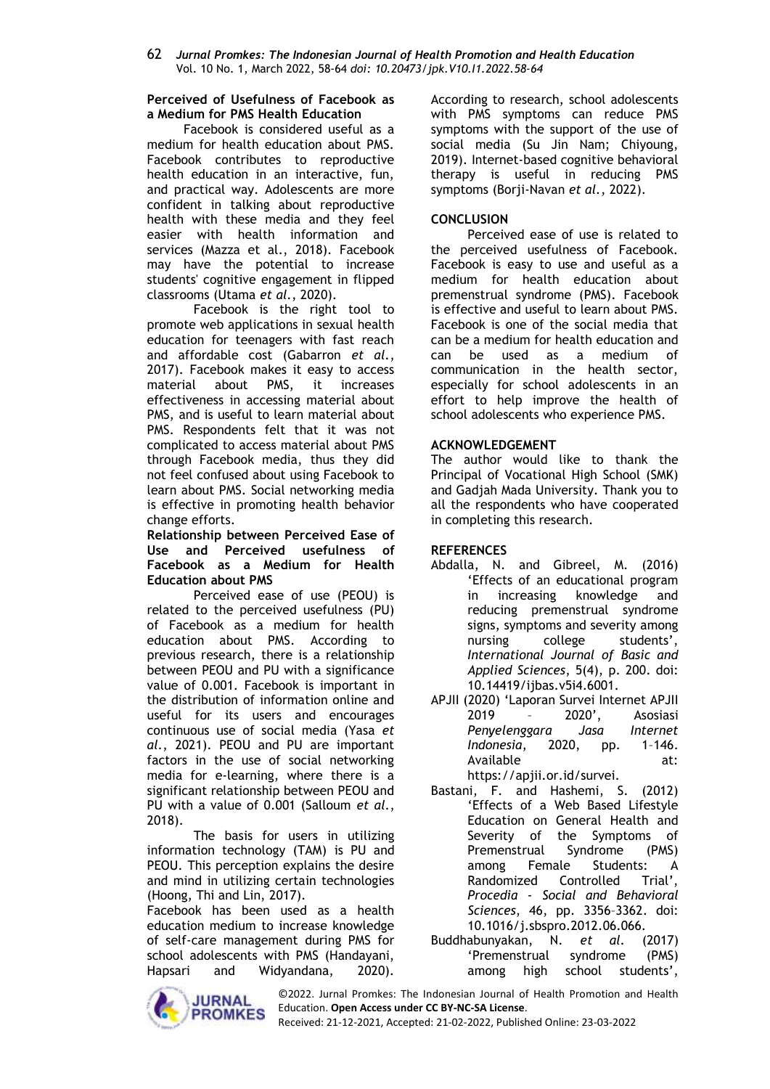62 *Jurnal Promkes: The Indonesian Journal of Health Promotion and Health Education* Vol. 10 No. 1, March 2022, 58-64 *doi: 10.20473/jpk.V10.I1.2022.58-64*

#### **Perceived of Usefulness of Facebook as a Medium for PMS Health Education**

Facebook is considered useful as a medium for health education about PMS. Facebook contributes to reproductive health education in an interactive, fun, and practical way. Adolescents are more confident in talking about reproductive health with these media and they feel easier with health information and services (Mazza et al., 2018). Facebook may have the potential to increase students' cognitive engagement in flipped classrooms (Utama *et al.*, 2020).

Facebook is the right tool to promote web applications in sexual health education for teenagers with fast reach and affordable cost (Gabarron *et al.*, 2017). Facebook makes it easy to access material about PMS, it increases effectiveness in accessing material about PMS, and is useful to learn material about PMS. Respondents felt that it was not complicated to access material about PMS through Facebook media, thus they did not feel confused about using Facebook to learn about PMS. Social networking media is effective in promoting health behavior change efforts.

**Relationship between Perceived Ease of Use and Perceived usefulness of Facebook as a Medium for Health Education about PMS**

Perceived ease of use (PEOU) is related to the perceived usefulness (PU) of Facebook as a medium for health education about PMS. According to previous research, there is a relationship between PEOU and PU with a significance value of 0.001. Facebook is important in the distribution of information online and useful for its users and encourages continuous use of social media (Yasa *et al.*, 2021). PEOU and PU are important factors in the use of social networking media for e-learning, where there is a significant relationship between PEOU and PU with a value of 0.001 (Salloum *et al.*, 2018).

The basis for users in utilizing information technology (TAM) is PU and PEOU. This perception explains the desire and mind in utilizing certain technologies (Hoong, Thi and Lin, 2017).

Facebook has been used as a health education medium to increase knowledge of self-care management during PMS for school adolescents with PMS (Handayani, Hapsari and Widyandana, 2020).



According to research, school adolescents with PMS symptoms can reduce PMS symptoms with the support of the use of social media (Su Jin Nam; Chiyoung, 2019). Internet-based cognitive behavioral therapy is useful in reducing PMS symptoms (Borji-Navan *et al.*, 2022).

### **CONCLUSION**

Perceived ease of use is related to the perceived usefulness of Facebook. Facebook is easy to use and useful as a medium for health education about premenstrual syndrome (PMS). Facebook is effective and useful to learn about PMS. Facebook is one of the social media that can be a medium for health education and can be used as a medium of communication in the health sector, especially for school adolescents in an effort to help improve the health of school adolescents who experience PMS.

### **ACKNOWLEDGEMENT**

The author would like to thank the Principal of Vocational High School (SMK) and Gadjah Mada University. Thank you to all the respondents who have cooperated in completing this research.

### **REFERENCES**

- Abdalla, N. and Gibreel, M. (2016) 'Effects of an educational program in increasing knowledge and reducing premenstrual syndrome signs, symptoms and severity among nursing college students', *International Journal of Basic and Applied Sciences*, 5(4), p. 200. doi: 10.14419/ijbas.v5i4.6001.
- APJII (2020) 'Laporan Survei Internet APJII 2019 – 2020', Asosiasi *Penyelenggara Jasa Internet Indonesia*, 2020, pp. 1–146. Available at: https://apjii.or.id/survei.
- Bastani, F. and Hashemi, S. (2012) 'Effects of a Web Based Lifestyle Education on General Health and Severity of the Symptoms of Premenstrual Syndrome (PMS) among Female Students: A Randomized Controlled Trial', *Procedia - Social and Behavioral Sciences*, 46, pp. 3356–3362. doi: 10.1016/j.sbspro.2012.06.066.
- Buddhabunyakan, N. *et al.* (2017) 'Premenstrual syndrome (PMS) among high school students',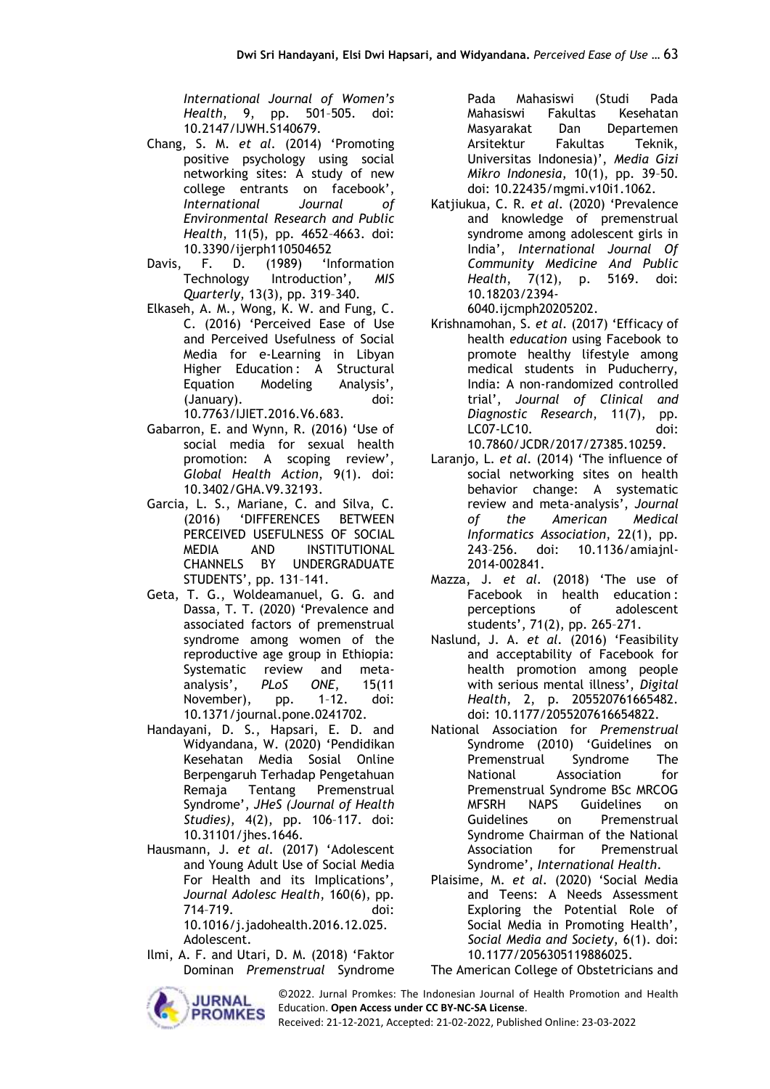*International Journal of Women's Health*, 9, pp. 501–505. doi: 10.2147/IJWH.S140679.

- Chang, S. M. *et al.* (2014) 'Promoting positive psychology using social networking sites: A study of new college entrants on facebook', *International Journal of Environmental Research and Public Health*, 11(5), pp. 4652–4663. doi: 10.3390/ijerph110504652
- Davis, F. D. (1989) 'Information Technology Introduction', *MIS Quarterly*, 13(3), pp. 319–340.
- Elkaseh, A. M., Wong, K. W. and Fung, C. C. (2016) 'Perceived Ease of Use and Perceived Usefulness of Social Media for e-Learning in Libyan Higher Education: A Structural Equation Modeling Analysis', (January). doi: 10.7763/IJIET.2016.V6.683.
- Gabarron, E. and Wynn, R. (2016) 'Use of social media for sexual health promotion: A scoping review', *Global Health Action*, 9(1). doi: 10.3402/GHA.V9.32193.
- Garcia, L. S., Mariane, C. and Silva, C. (2016) 'DIFFERENCES BETWEEN PERCEIVED USEFULNESS OF SOCIAL MEDIA AND INSTITUTIONAL CHANNELS BY UNDERGRADUATE STUDENTS', pp. 131–141.
- Geta, T. G., Woldeamanuel, G. G. and Dassa, T. T. (2020) 'Prevalence and associated factors of premenstrual syndrome among women of the reproductive age group in Ethiopia: Systematic review and meta-<br>analysis', PLoS ONE, 15(11 analysis', *PLoS ONE*, 15(11 November), pp. 1–12. doi: 10.1371/journal.pone.0241702.
- Handayani, D. S., Hapsari, E. D. and Widyandana, W. (2020) 'Pendidikan Kesehatan Media Sosial Online Berpengaruh Terhadap Pengetahuan Remaja Tentang Premenstrual Syndrome', *JHeS (Journal of Health Studies)*, 4(2), pp. 106–117. doi: 10.31101/jhes.1646.
- Hausmann, J. *et al.* (2017) 'Adolescent and Young Adult Use of Social Media For Health and its Implications', *Journal Adolesc Health*, 160(6), pp. 714–719. doi: 10.1016/j.jadohealth.2016.12.025.

Adolescent.

Ilmi, A. F. and Utari, D. M. (2018) 'Faktor Dominan *Premenstrual* Syndrome



Pada Mahasiswi (Studi Pada Mahasiswi Fakultas Kesehatan Masyarakat Dan Departemen Arsitektur Fakultas Teknik, Universitas Indonesia)', *Media Gizi Mikro Indonesia*, 10(1), pp. 39–50. doi: 10.22435/mgmi.v10i1.1062.

Katjiukua, C. R. *et al.* (2020) 'Prevalence and knowledge of premenstrual syndrome among adolescent girls in India', *International Journal Of Community Medicine And Public Health*, 7(12), p. 5169. doi: 10.18203/2394- 6040.ijcmph20205202.

Krishnamohan, S. *et al.* (2017) 'Efficacy of health *education* using Facebook to promote healthy lifestyle among medical students in Puducherry, India: A non-randomized controlled trial', *Journal of Clinical and Diagnostic Research*, 11(7), pp. LC07-LC10. doi: 10.7860/JCDR/2017/27385.10259.

- Laranjo, L. *et al.* (2014) 'The influence of social networking sites on health behavior change: A systematic review and meta-analysis', *Journal of the American Medical Informatics Association*, 22(1), pp. 10.1136/amiajnl-2014-002841.
- Mazza, J. *et al.* (2018) 'The use of Facebook in health education : perceptions of adolescent students', 71(2), pp. 265–271.
- Naslund, J. A. *et al.* (2016) 'Feasibility and acceptability of Facebook for health promotion among people with serious mental illness', *Digital Health*, 2, p. 205520761665482. doi: 10.1177/2055207616654822.
- National Association for *Premenstrual* Syndrome (2010) 'Guidelines on Premenstrual Syndrome The National Association for Premenstrual Syndrome BSc MRCOG MFSRH NAPS Guidelines on Guidelines on Premenstrual Syndrome Chairman of the National Association for Premenstrual Syndrome', *International Health*.
- Plaisime, M. *et al.* (2020) 'Social Media and Teens: A Needs Assessment Exploring the Potential Role of Social Media in Promoting Health', *Social Media and Society*, 6(1). doi: 10.1177/2056305119886025.

The American College of Obstetricians and